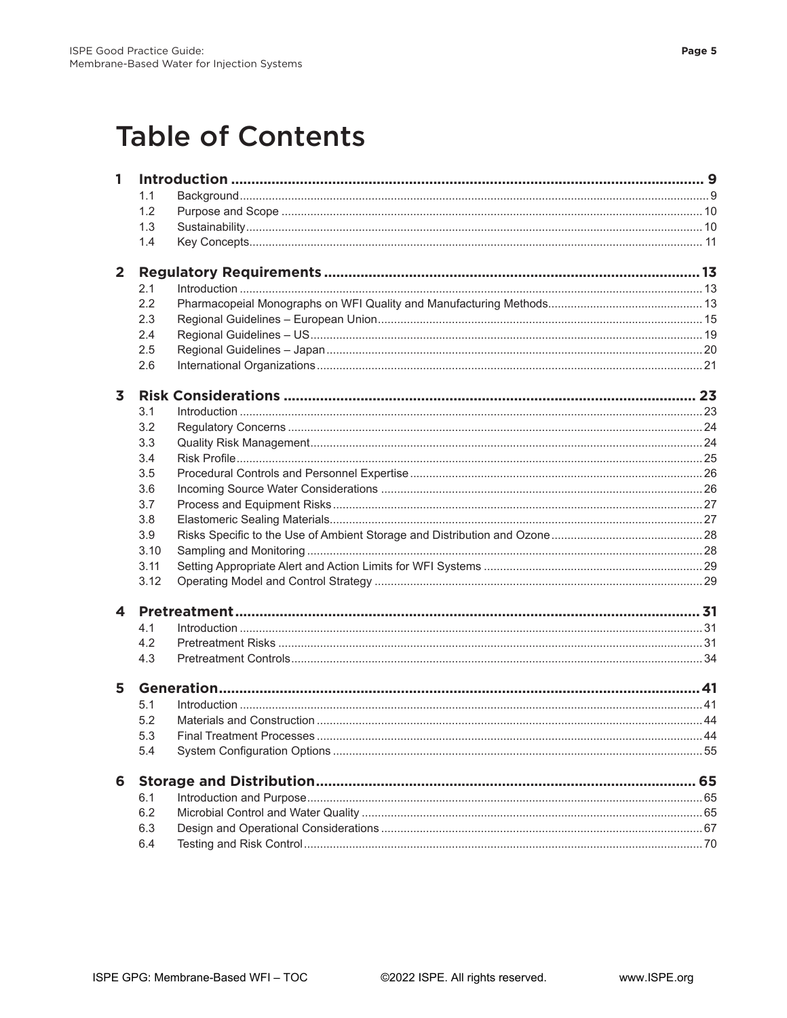## **Table of Contents**

| 1                       |      |  |  |
|-------------------------|------|--|--|
|                         | 1.1  |  |  |
|                         | 1.2  |  |  |
|                         | 1.3  |  |  |
|                         | 1.4  |  |  |
| $\overline{2}$          |      |  |  |
|                         | 2.1  |  |  |
|                         | 2.2  |  |  |
|                         | 2.3  |  |  |
|                         | 2.4  |  |  |
|                         | 2.5  |  |  |
|                         | 2.6  |  |  |
| $\overline{\mathbf{3}}$ |      |  |  |
|                         | 3.1  |  |  |
|                         | 3.2  |  |  |
|                         | 3.3  |  |  |
|                         | 3.4  |  |  |
|                         | 3.5  |  |  |
|                         | 3.6  |  |  |
|                         | 3.7  |  |  |
|                         | 3.8  |  |  |
|                         | 3.9  |  |  |
|                         | 3.10 |  |  |
|                         | 3.11 |  |  |
|                         | 3.12 |  |  |
| $\blacktriangle$        |      |  |  |
|                         | 4.1  |  |  |
|                         | 4.2  |  |  |
|                         | 4.3  |  |  |
| 5                       |      |  |  |
|                         | 5.1  |  |  |
|                         | 5.2  |  |  |
|                         | 5.3  |  |  |
|                         | 5.4  |  |  |
| 6                       |      |  |  |
|                         | 6.1  |  |  |
|                         | 6.2  |  |  |
|                         | 6.3  |  |  |
|                         | 6.4  |  |  |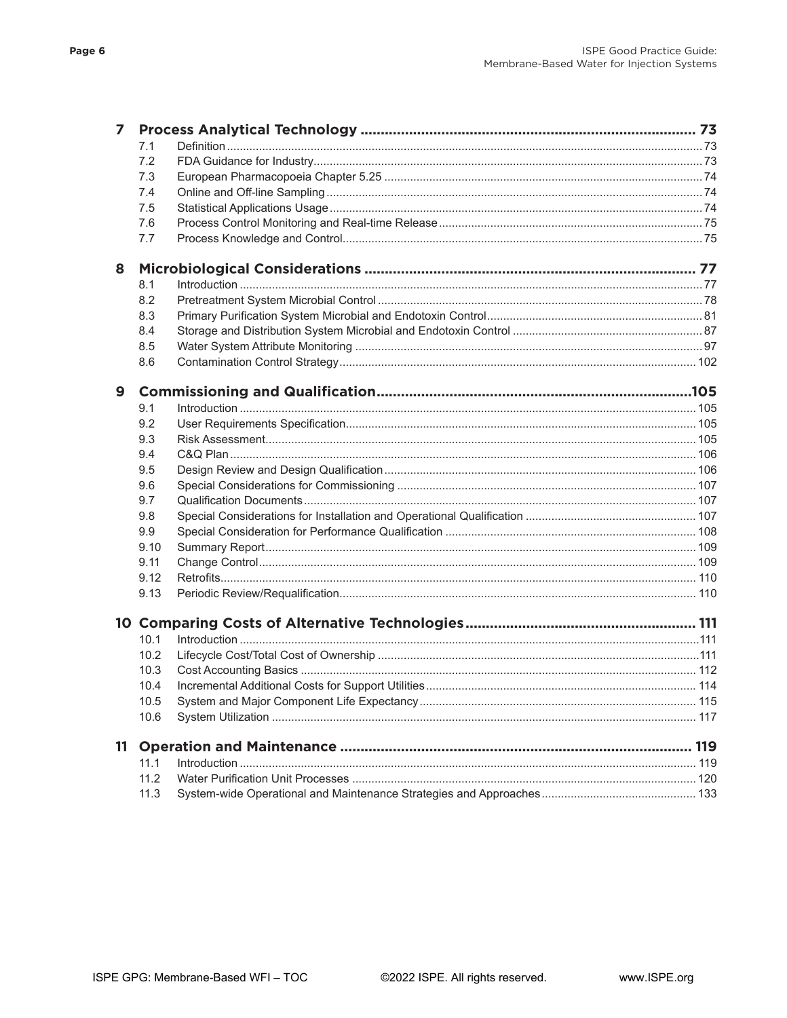| 7  |      |  |  |
|----|------|--|--|
|    | 7.1  |  |  |
|    | 7.2  |  |  |
|    | 7.3  |  |  |
|    | 7.4  |  |  |
|    | 7.5  |  |  |
|    | 7.6  |  |  |
|    | 7.7  |  |  |
| 8  |      |  |  |
|    | 8.1  |  |  |
|    | 8.2  |  |  |
|    | 8.3  |  |  |
|    | 8.4  |  |  |
|    | 8.5  |  |  |
|    | 8.6  |  |  |
| 9  |      |  |  |
|    | 9.1  |  |  |
|    | 9.2  |  |  |
|    | 9.3  |  |  |
|    | 9.4  |  |  |
|    | 9.5  |  |  |
|    | 9.6  |  |  |
|    | 9.7  |  |  |
|    | 9.8  |  |  |
|    | 9.9  |  |  |
|    | 9.10 |  |  |
|    | 9.11 |  |  |
|    | 9.12 |  |  |
|    | 9.13 |  |  |
|    |      |  |  |
|    | 10.1 |  |  |
|    | 10.2 |  |  |
|    | 10.3 |  |  |
|    | 10.4 |  |  |
|    | 10.5 |  |  |
|    | 10.6 |  |  |
| 11 |      |  |  |
|    | 11.1 |  |  |
|    | 11.2 |  |  |
|    | 11.3 |  |  |
|    |      |  |  |